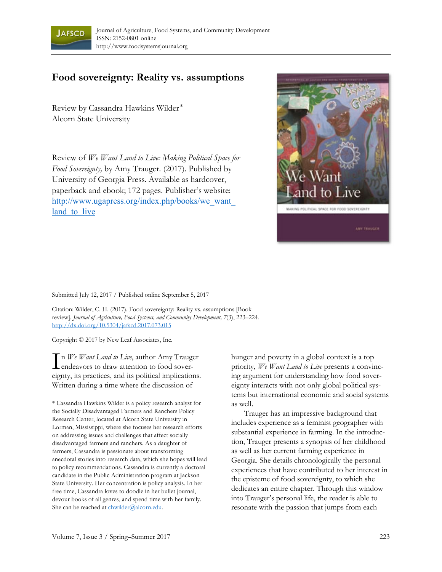

## **Food sovereignty: Reality vs. assumptions**

Review by Cassandra Hawkins Wilder \* Alcorn State University

Review of *We Want Land to Live: Making Political Space for Food Sovereignty,* by Amy Trauger*.* (2017). Published by University of Georgia Press. Available as hardcover, paperback and ebook; 172 pages. Publisher's website: [http://www.ugapress.org/index.php/books/we\\_want\\_](http://www.ugapress.org/index.php/books/we_want_land_to_live) land to live



Submitted July 12, 2017 / Published online September 5, 2017

Citation: Wilder, C. H. (2017). Food sovereignty: Reality vs. assumptions [Book review]. *Journal of Agriculture, Food Systems, and Community Development, 7*(3), 223–224*.*  http://dx.doi.org/10.5304/jafscd.2017.073.015

Copyright © 2017 by New Leaf Associates, Inc.

In *We Want Land to Live*, author Amy Trauger<br>endeavors to draw attention to food sover-**L** endeavors to draw attention to food sovereignty, its practices, and its political implications. Written during a time where the discussion of

\* Cassandra Hawkins Wilder is a policy research analyst for the Socially Disadvantaged Farmers and Ranchers Policy Research Center, located at Alcorn State University in Lorman, Mississippi, where she focuses her research efforts on addressing issues and challenges that affect socially disadvantaged farmers and ranchers. As a daughter of farmers, Cassandra is passionate about transforming anecdotal stories into research data, which she hopes will lead to policy recommendations. Cassandra is currently a doctoral candidate in the Public Administration program at Jackson State University. Her concentration is policy analysis. In her free time, Cassandra loves to doodle in her bullet journal, devour books of all genres, and spend time with her family. She can be reached at chwilder@alcorn.edu.

hunger and poverty in a global context is a top priority, *We Want Land to Live* presents a convincing argument for understanding how food sovereignty interacts with not only global political systems but international economic and social systems as well.

 Trauger has an impressive background that includes experience as a feminist geographer with substantial experience in farming. In the introduction, Trauger presents a synopsis of her childhood as well as her current farming experience in Georgia. She details chronologically the personal experiences that have contributed to her interest in the episteme of food sovereignty, to which she dedicates an entire chapter. Through this window into Trauger's personal life, the reader is able to resonate with the passion that jumps from each